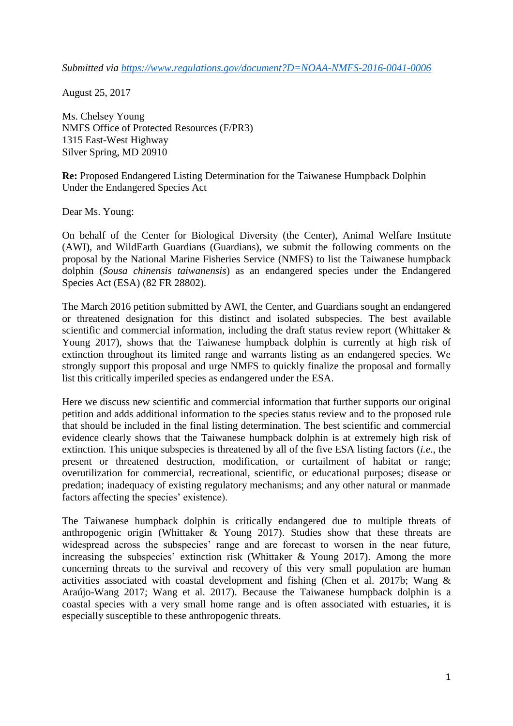*Submitted via <https://www.regulations.gov/document?D=NOAA-NMFS-2016-0041-0006>*

August 25, 2017

Ms. Chelsey Young NMFS Office of Protected Resources (F/PR3) 1315 East-West Highway Silver Spring, MD 20910

**Re:** Proposed Endangered Listing Determination for the Taiwanese Humpback Dolphin Under the Endangered Species Act

Dear Ms. Young:

On behalf of the Center for Biological Diversity (the Center), Animal Welfare Institute (AWI), and WildEarth Guardians (Guardians), we submit the following comments on the proposal by the National Marine Fisheries Service (NMFS) to list the Taiwanese humpback dolphin (*Sousa chinensis taiwanensis*) as an endangered species under the Endangered Species Act (ESA) (82 FR 28802).

The March 2016 petition submitted by AWI, the Center, and Guardians sought an endangered or threatened designation for this distinct and isolated subspecies. The best available scientific and commercial information, including the draft status review report (Whittaker & Young 2017), shows that the Taiwanese humpback dolphin is currently at high risk of extinction throughout its limited range and warrants listing as an endangered species. We strongly support this proposal and urge NMFS to quickly finalize the proposal and formally list this critically imperiled species as endangered under the ESA.

Here we discuss new scientific and commercial information that further supports our original petition and adds additional information to the species status review and to the proposed rule that should be included in the final listing determination. The best scientific and commercial evidence clearly shows that the Taiwanese humpback dolphin is at extremely high risk of extinction. This unique subspecies is threatened by all of the five ESA listing factors (*i.e*., the present or threatened destruction, modification, or curtailment of habitat or range; overutilization for commercial, recreational, scientific, or educational purposes; disease or predation; inadequacy of existing regulatory mechanisms; and any other natural or manmade factors affecting the species' existence).

The Taiwanese humpback dolphin is critically endangered due to multiple threats of anthropogenic origin (Whittaker & Young 2017). Studies show that these threats are widespread across the subspecies' range and are forecast to worsen in the near future, increasing the subspecies' extinction risk (Whittaker & Young 2017). Among the more concerning threats to the survival and recovery of this very small population are human activities associated with coastal development and fishing (Chen et al. 2017b; Wang & Araújo-Wang 2017; Wang et al. 2017). Because the Taiwanese humpback dolphin is a coastal species with a very small home range and is often associated with estuaries, it is especially susceptible to these anthropogenic threats.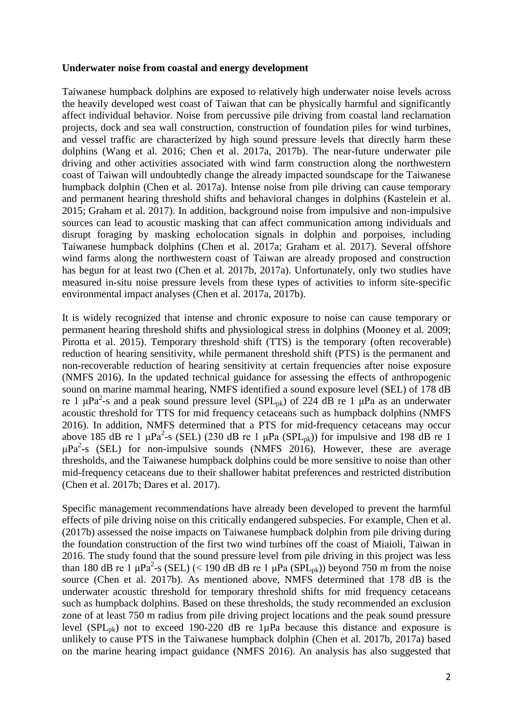#### **Underwater noise from coastal and energy development**

Taiwanese humpback dolphins are exposed to relatively high underwater noise levels across the heavily developed west coast of Taiwan that can be physically harmful and significantly affect individual behavior. Noise from percussive pile driving from coastal land reclamation projects, dock and sea wall construction, construction of foundation piles for wind turbines, and vessel traffic are characterized by high sound pressure levels that directly harm these dolphins (Wang et al. 2016; Chen et al. 2017a, 2017b). The near-future underwater pile driving and other activities associated with wind farm construction along the northwestern coast of Taiwan will undoubtedly change the already impacted soundscape for the Taiwanese humpback dolphin (Chen et al. 2017a). Intense noise from pile driving can cause temporary and permanent hearing threshold shifts and behavioral changes in dolphins (Kastelein et al. 2015; Graham et al. 2017). In addition, background noise from impulsive and non-impulsive sources can lead to acoustic masking that can affect communication among individuals and disrupt foraging by masking echolocation signals in dolphin and porpoises, including Taiwanese humpback dolphins (Chen et al. 2017a; Graham et al. 2017). Several offshore wind farms along the northwestern coast of Taiwan are already proposed and construction has begun for at least two (Chen et al. 2017b, 2017a). Unfortunately, only two studies have measured in-situ noise pressure levels from these types of activities to inform site-specific environmental impact analyses (Chen et al. 2017a, 2017b).

It is widely recognized that intense and chronic exposure to noise can cause temporary or permanent hearing threshold shifts and physiological stress in dolphins (Mooney et al. 2009; Pirotta et al. 2015). Temporary threshold shift (TTS) is the temporary (often recoverable) reduction of hearing sensitivity, while permanent threshold shift (PTS) is the permanent and non-recoverable reduction of hearing sensitivity at certain frequencies after noise exposure (NMFS 2016). In the updated technical guidance for assessing the effects of anthropogenic sound on marine mammal hearing, NMFS identified a sound exposure level (SEL) of 178 dB re 1 μPa<sup>2</sup>-s and a peak sound pressure level (SPL<sub>pk</sub>) of 224 dB re 1 μPa as an underwater acoustic threshold for TTS for mid frequency cetaceans such as humpback dolphins (NMFS 2016). In addition, NMFS determined that a PTS for mid-frequency cetaceans may occur above 185 dB re 1  $\mu$ Pa<sup>2</sup>-s (SEL) (230 dB re 1  $\mu$ Pa (SPL<sub>pk</sub>)) for impulsive and 198 dB re 1  $\mu$ Pa<sup>2</sup>-s (SEL) for non-impulsive sounds (NMFS 2016). However, these are average thresholds, and the Taiwanese humpback dolphins could be more sensitive to noise than other mid-frequency cetaceans due to their shallower habitat preferences and restricted distribution (Chen et al. 2017b; Dares et al. 2017).

Specific management recommendations have already been developed to prevent the harmful effects of pile driving noise on this critically endangered subspecies. For example, Chen et al. (2017b) assessed the noise impacts on Taiwanese humpback dolphin from pile driving during the foundation construction of the first two wind turbines off the coast of Miaioli, Taiwan in 2016. The study found that the sound pressure level from pile driving in this project was less than 180 dB re 1  $\mu$ Pa<sup>2</sup>-s (SEL) (< 190 dB dB re 1  $\mu$ Pa (SPL<sub>pk</sub>)) beyond 750 m from the noise source (Chen et al. 2017b). As mentioned above, NMFS determined that 178 dB is the underwater acoustic threshold for temporary threshold shifts for mid frequency cetaceans such as humpback dolphins. Based on these thresholds, the study recommended an exclusion zone of at least 750 m radius from pile driving project locations and the peak sound pressure level (SPL<sub>pk</sub>) not to exceed 190-220 dB re 1 $\mu$ Pa because this distance and exposure is unlikely to cause PTS in the Taiwanese humpback dolphin (Chen et al. 2017b, 2017a) based on the marine hearing impact guidance (NMFS 2016). An analysis has also suggested that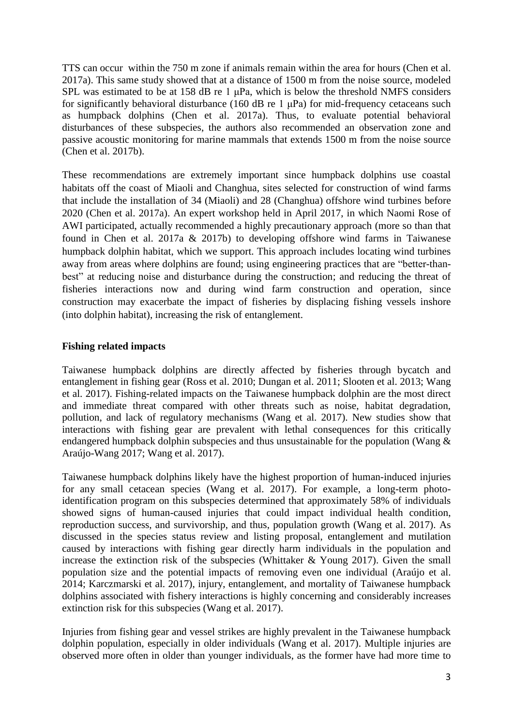TTS can occur within the 750 m zone if animals remain within the area for hours (Chen et al. 2017a). This same study showed that at a distance of 1500 m from the noise source, modeled SPL was estimated to be at 158 dB re 1 μPa, which is below the threshold NMFS considers for significantly behavioral disturbance (160 dB re 1  $\mu$ Pa) for mid-frequency cetaceans such as humpback dolphins (Chen et al. 2017a). Thus, to evaluate potential behavioral disturbances of these subspecies, the authors also recommended an observation zone and passive acoustic monitoring for marine mammals that extends 1500 m from the noise source (Chen et al. 2017b).

These recommendations are extremely important since humpback dolphins use coastal habitats off the coast of Miaoli and Changhua, sites selected for construction of wind farms that include the installation of 34 (Miaoli) and 28 (Changhua) offshore wind turbines before 2020 (Chen et al. 2017a). An expert workshop held in April 2017, in which Naomi Rose of AWI participated, actually recommended a highly precautionary approach (more so than that found in Chen et al. 2017a & 2017b) to developing offshore wind farms in Taiwanese humpback dolphin habitat, which we support. This approach includes locating wind turbines away from areas where dolphins are found; using engineering practices that are "better-thanbest" at reducing noise and disturbance during the construction; and reducing the threat of fisheries interactions now and during wind farm construction and operation, since construction may exacerbate the impact of fisheries by displacing fishing vessels inshore (into dolphin habitat), increasing the risk of entanglement.

# **Fishing related impacts**

Taiwanese humpback dolphins are directly affected by fisheries through bycatch and entanglement in fishing gear (Ross et al. 2010; Dungan et al. 2011; Slooten et al. 2013; Wang et al. 2017). Fishing-related impacts on the Taiwanese humpback dolphin are the most direct and immediate threat compared with other threats such as noise, habitat degradation, pollution, and lack of regulatory mechanisms (Wang et al. 2017). New studies show that interactions with fishing gear are prevalent with lethal consequences for this critically endangered humpback dolphin subspecies and thus unsustainable for the population (Wang & Araújo-Wang 2017; Wang et al. 2017).

Taiwanese humpback dolphins likely have the highest proportion of human-induced injuries for any small cetacean species (Wang et al. 2017). For example, a long-term photoidentification program on this subspecies determined that approximately 58% of individuals showed signs of human-caused injuries that could impact individual health condition, reproduction success, and survivorship, and thus, population growth (Wang et al. 2017). As discussed in the species status review and listing proposal, entanglement and mutilation caused by interactions with fishing gear directly harm individuals in the population and increase the extinction risk of the subspecies (Whittaker  $&$  Young 2017). Given the small population size and the potential impacts of removing even one individual (Araújo et al. 2014; Karczmarski et al. 2017), injury, entanglement, and mortality of Taiwanese humpback dolphins associated with fishery interactions is highly concerning and considerably increases extinction risk for this subspecies (Wang et al. 2017).

Injuries from fishing gear and vessel strikes are highly prevalent in the Taiwanese humpback dolphin population, especially in older individuals (Wang et al. 2017). Multiple injuries are observed more often in older than younger individuals, as the former have had more time to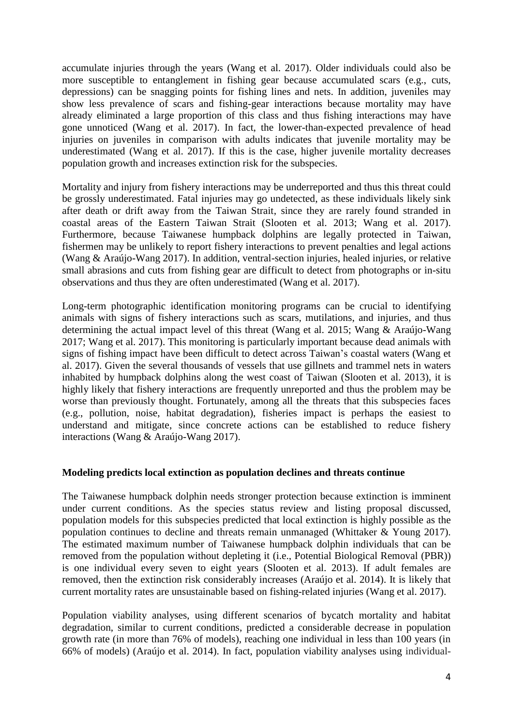accumulate injuries through the years (Wang et al. 2017). Older individuals could also be more susceptible to entanglement in fishing gear because accumulated scars (e.g., cuts, depressions) can be snagging points for fishing lines and nets. In addition, juveniles may show less prevalence of scars and fishing-gear interactions because mortality may have already eliminated a large proportion of this class and thus fishing interactions may have gone unnoticed (Wang et al. 2017). In fact, the lower-than-expected prevalence of head injuries on juveniles in comparison with adults indicates that juvenile mortality may be underestimated (Wang et al. 2017). If this is the case, higher juvenile mortality decreases population growth and increases extinction risk for the subspecies.

Mortality and injury from fishery interactions may be underreported and thus this threat could be grossly underestimated. Fatal injuries may go undetected, as these individuals likely sink after death or drift away from the Taiwan Strait, since they are rarely found stranded in coastal areas of the Eastern Taiwan Strait (Slooten et al. 2013; Wang et al. 2017). Furthermore, because Taiwanese humpback dolphins are legally protected in Taiwan, fishermen may be unlikely to report fishery interactions to prevent penalties and legal actions (Wang & Araújo-Wang 2017). In addition, ventral-section injuries, healed injuries, or relative small abrasions and cuts from fishing gear are difficult to detect from photographs or in-situ observations and thus they are often underestimated (Wang et al. 2017).

Long-term photographic identification monitoring programs can be crucial to identifying animals with signs of fishery interactions such as scars, mutilations, and injuries, and thus determining the actual impact level of this threat (Wang et al. 2015; Wang & Araújo-Wang 2017; Wang et al. 2017). This monitoring is particularly important because dead animals with signs of fishing impact have been difficult to detect across Taiwan's coastal waters (Wang et al. 2017). Given the several thousands of vessels that use gillnets and trammel nets in waters inhabited by humpback dolphins along the west coast of Taiwan (Slooten et al. 2013), it is highly likely that fishery interactions are frequently unreported and thus the problem may be worse than previously thought. Fortunately, among all the threats that this subspecies faces (e.g., pollution, noise, habitat degradation), fisheries impact is perhaps the easiest to understand and mitigate, since concrete actions can be established to reduce fishery interactions (Wang & Araújo-Wang 2017).

#### **Modeling predicts local extinction as population declines and threats continue**

The Taiwanese humpback dolphin needs stronger protection because extinction is imminent under current conditions. As the species status review and listing proposal discussed, population models for this subspecies predicted that local extinction is highly possible as the population continues to decline and threats remain unmanaged (Whittaker & Young 2017). The estimated maximum number of Taiwanese humpback dolphin individuals that can be removed from the population without depleting it (i.e., Potential Biological Removal (PBR)) is one individual every seven to eight years (Slooten et al. 2013). If adult females are removed, then the extinction risk considerably increases (Araújo et al. 2014). It is likely that current mortality rates are unsustainable based on fishing-related injuries (Wang et al. 2017).

Population viability analyses, using different scenarios of bycatch mortality and habitat degradation, similar to current conditions, predicted a considerable decrease in population growth rate (in more than 76% of models), reaching one individual in less than 100 years (in 66% of models) (Araújo et al. 2014). In fact, population viability analyses using individual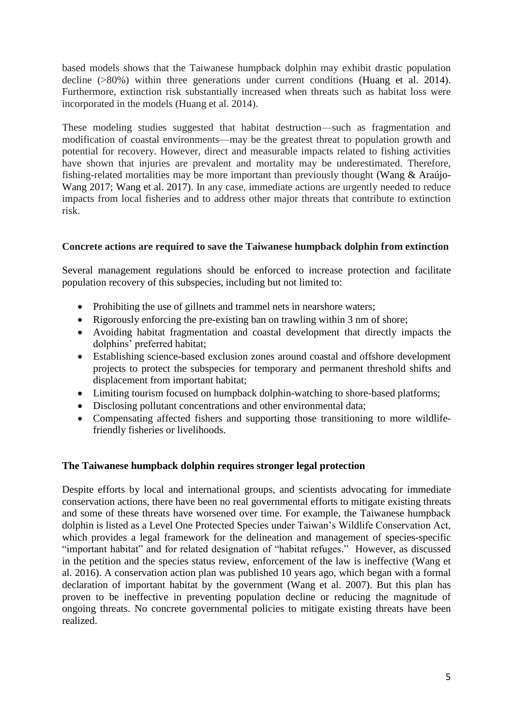based models shows that the Taiwanese humpback dolphin may exhibit drastic population decline (>80%) within three generations under current conditions (Huang et al. 2014). Furthermore, extinction risk substantially increased when threats such as habitat loss were incorporated in the models (Huang et al. 2014).

These modeling studies suggested that habitat destruction—such as fragmentation and modification of coastal environments—may be the greatest threat to population growth and potential for recovery. However, direct and measurable impacts related to fishing activities have shown that injuries are prevalent and mortality may be underestimated. Therefore, fishing-related mortalities may be more important than previously thought (Wang & Araújo-Wang 2017; Wang et al. 2017). In any case, immediate actions are urgently needed to reduce impacts from local fisheries and to address other major threats that contribute to extinction risk.

# **Concrete actions are required to save the Taiwanese humpback dolphin from extinction**

Several management regulations should be enforced to increase protection and facilitate population recovery of this subspecies, including but not limited to:

- Prohibiting the use of gillnets and trammel nets in nearshore waters;
- Rigorously enforcing the pre-existing ban on trawling within 3 nm of shore;
- Avoiding habitat fragmentation and coastal development that directly impacts the dolphins' preferred habitat;
- Establishing science-based exclusion zones around coastal and offshore development projects to protect the subspecies for temporary and permanent threshold shifts and displacement from important habitat;
- Limiting tourism focused on humpback dolphin-watching to shore-based platforms;
- Disclosing pollutant concentrations and other environmental data;
- Compensating affected fishers and supporting those transitioning to more wildlifefriendly fisheries or livelihoods.

# **The Taiwanese humpback dolphin requires stronger legal protection**

Despite efforts by local and international groups, and scientists advocating for immediate conservation actions, there have been no real governmental efforts to mitigate existing threats and some of these threats have worsened over time. For example, the Taiwanese humpback dolphin is listed as a Level One Protected Species under Taiwan's Wildlife Conservation Act, which provides a legal framework for the delineation and management of species-specific "important habitat" and for related designation of "habitat refuges." However, as discussed in the petition and the species status review, enforcement of the law is ineffective (Wang et al. 2016). A conservation action plan was published 10 years ago, which began with a formal declaration of important habitat by the government (Wang et al. 2007). But this plan has proven to be ineffective in preventing population decline or reducing the magnitude of ongoing threats. No concrete governmental policies to mitigate existing threats have been realized.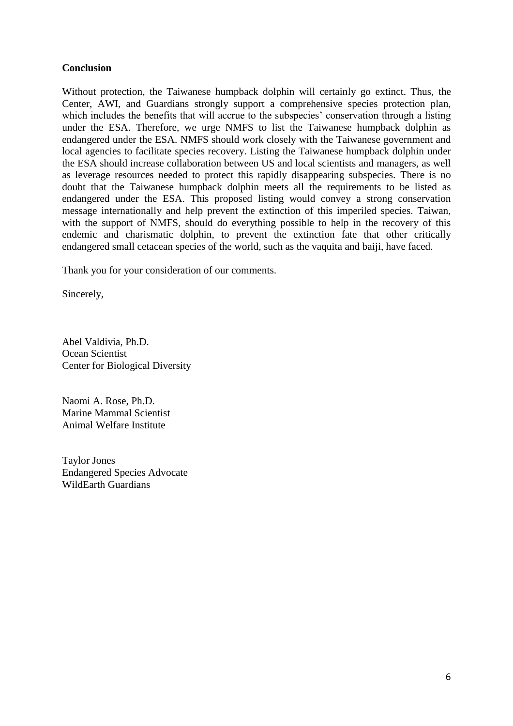### **Conclusion**

Without protection, the Taiwanese humpback dolphin will certainly go extinct. Thus, the Center, AWI, and Guardians strongly support a comprehensive species protection plan, which includes the benefits that will accrue to the subspecies' conservation through a listing under the ESA. Therefore, we urge NMFS to list the Taiwanese humpback dolphin as endangered under the ESA. NMFS should work closely with the Taiwanese government and local agencies to facilitate species recovery. Listing the Taiwanese humpback dolphin under the ESA should increase collaboration between US and local scientists and managers, as well as leverage resources needed to protect this rapidly disappearing subspecies. There is no doubt that the Taiwanese humpback dolphin meets all the requirements to be listed as endangered under the ESA. This proposed listing would convey a strong conservation message internationally and help prevent the extinction of this imperiled species. Taiwan, with the support of NMFS, should do everything possible to help in the recovery of this endemic and charismatic dolphin, to prevent the extinction fate that other critically endangered small cetacean species of the world, such as the vaquita and baiji, have faced.

Thank you for your consideration of our comments.

Sincerely,

Abel Valdivia, Ph.D. Ocean Scientist Center for Biological Diversity

Naomi A. Rose, Ph.D. Marine Mammal Scientist Animal Welfare Institute

Taylor Jones Endangered Species Advocate WildEarth Guardians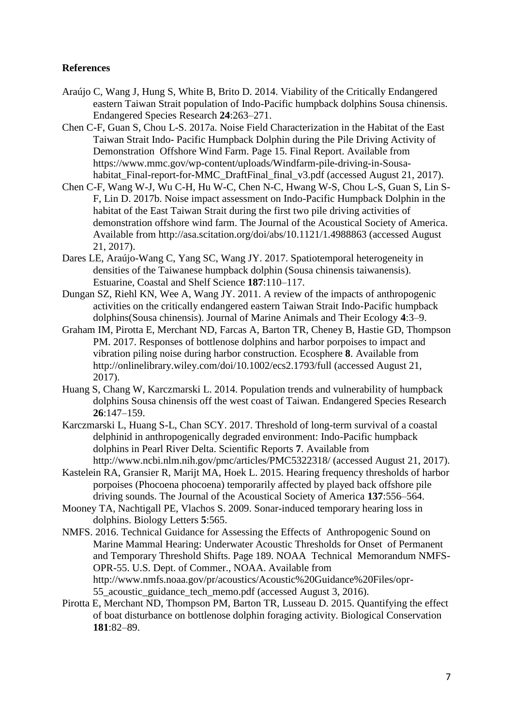### **References**

- Araújo C, Wang J, Hung S, White B, Brito D. 2014. Viability of the Critically Endangered eastern Taiwan Strait population of Indo-Pacific humpback dolphins Sousa chinensis. Endangered Species Research **24**:263–271.
- Chen C-F, Guan S, Chou L-S. 2017a. Noise Field Characterization in the Habitat of the East Taiwan Strait Indo- Pacific Humpback Dolphin during the Pile Driving Activity of Demonstration Offshore Wind Farm. Page 15. Final Report. Available from https://www.mmc.gov/wp-content/uploads/Windfarm-pile-driving-in-Sousahabitat Final-report-for-MMC DraftFinal final v3.pdf (accessed August 21, 2017).
- Chen C-F, Wang W-J, Wu C-H, Hu W-C, Chen N-C, Hwang W-S, Chou L-S, Guan S, Lin S-F, Lin D. 2017b. Noise impact assessment on Indo-Pacific Humpback Dolphin in the habitat of the East Taiwan Strait during the first two pile driving activities of demonstration offshore wind farm. The Journal of the Acoustical Society of America. Available from http://asa.scitation.org/doi/abs/10.1121/1.4988863 (accessed August 21, 2017).
- Dares LE, Araújo-Wang C, Yang SC, Wang JY. 2017. Spatiotemporal heterogeneity in densities of the Taiwanese humpback dolphin (Sousa chinensis taiwanensis). Estuarine, Coastal and Shelf Science **187**:110–117.
- Dungan SZ, Riehl KN, Wee A, Wang JY. 2011. A review of the impacts of anthropogenic activities on the critically endangered eastern Taiwan Strait Indo-Pacific humpback dolphins(Sousa chinensis). Journal of Marine Animals and Their Ecology **4**:3–9.
- Graham IM, Pirotta E, Merchant ND, Farcas A, Barton TR, Cheney B, Hastie GD, Thompson PM. 2017. Responses of bottlenose dolphins and harbor porpoises to impact and vibration piling noise during harbor construction. Ecosphere **8**. Available from http://onlinelibrary.wiley.com/doi/10.1002/ecs2.1793/full (accessed August 21, 2017).
- Huang S, Chang W, Karczmarski L. 2014. Population trends and vulnerability of humpback dolphins Sousa chinensis off the west coast of Taiwan. Endangered Species Research **26**:147–159.
- Karczmarski L, Huang S-L, Chan SCY. 2017. Threshold of long-term survival of a coastal delphinid in anthropogenically degraded environment: Indo-Pacific humpback dolphins in Pearl River Delta. Scientific Reports **7**. Available from http://www.ncbi.nlm.nih.gov/pmc/articles/PMC5322318/ (accessed August 21, 2017).
- Kastelein RA, Gransier R, Marijt MA, Hoek L. 2015. Hearing frequency thresholds of harbor porpoises (Phocoena phocoena) temporarily affected by played back offshore pile driving sounds. The Journal of the Acoustical Society of America **137**:556–564.
- Mooney TA, Nachtigall PE, Vlachos S. 2009. Sonar-induced temporary hearing loss in dolphins. Biology Letters **5**:565.
- NMFS. 2016. Technical Guidance for Assessing the Effects of Anthropogenic Sound on Marine Mammal Hearing: Underwater Acoustic Thresholds for Onset of Permanent and Temporary Threshold Shifts. Page 189. NOAA Technical Memorandum NMFS-OPR-55. U.S. Dept. of Commer., NOAA. Available from http://www.nmfs.noaa.gov/pr/acoustics/Acoustic%20Guidance%20Files/opr-55\_acoustic\_guidance\_tech\_memo.pdf (accessed August 3, 2016).
- Pirotta E, Merchant ND, Thompson PM, Barton TR, Lusseau D. 2015. Quantifying the effect of boat disturbance on bottlenose dolphin foraging activity. Biological Conservation **181**:82–89.